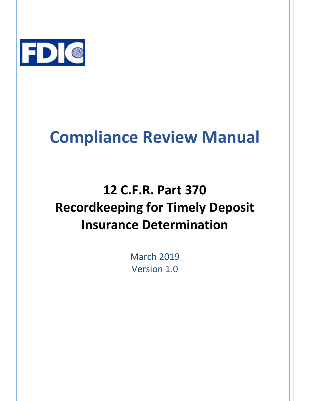

# **Compliance Review Manual**

# **12 C.F.R. Part 370 Recordkeeping for Timely Deposit Insurance Determination**

**March 2019** Version 1.0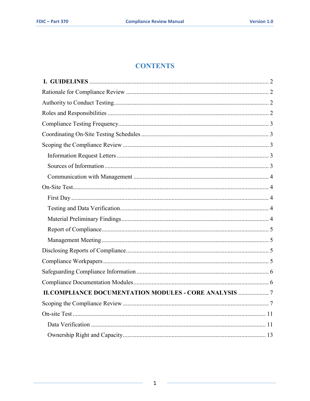# **CONTENTS**

| <b>II.COMPLIANCE DOCUMENTATION MODULES - CORE ANALYSIS  7</b> |  |
|---------------------------------------------------------------|--|
|                                                               |  |
|                                                               |  |
|                                                               |  |
|                                                               |  |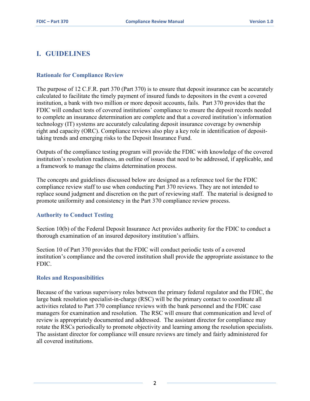# <span id="page-2-0"></span>**I. GUIDELINES**

#### <span id="page-2-1"></span> **Rationale for Compliance Review**

 institution, a bank with two million or more deposit accounts, fails. Part 370 provides that the FDIC will conduct tests of covered institutions' compliance to ensure the deposit records needed right and capacity (ORC). Compliance reviews also play a key role in identification of deposit- taking trends and emerging risks to the Deposit Insurance Fund. The purpose of 12 C.F.R. part 370 (Part 370) is to ensure that deposit insurance can be accurately calculated to facilitate the timely payment of insured funds to depositors in the event a covered to complete an insurance determination are complete and that a covered institution's information technology (IT) systems are accurately calculating deposit insurance coverage by ownership

Outputs of the compliance testing program will provide the FDIC with knowledge of the covered institution's resolution readiness, an outline of issues that need to be addressed, if applicable, and a framework to manage the claims determination process.

 replace sound judgment and discretion on the part of reviewing staff. The material is designed to The concepts and guidelines discussed below are designed as a reference tool for the FDIC compliance review staff to use when conducting Part 370 reviews. They are not intended to promote uniformity and consistency in the Part 370 compliance review process.

#### <span id="page-2-2"></span>**Authority to Conduct Testing**

Section 10(b) of the Federal Deposit Insurance Act provides authority for the FDIC to conduct a thorough examination of an insured depository institution's affairs.

 FDIC. Section 10 of Part 370 provides that the FDIC will conduct periodic tests of a covered institution's compliance and the covered institution shall provide the appropriate assistance to the

#### <span id="page-2-3"></span>**Roles and Responsibilities**

 rotate the RSCs periodically to promote objectivity and learning among the resolution specialists. The assistant director for compliance will ensure reviews are timely and fairly administered for Because of the various supervisory roles between the primary federal regulator and the FDIC, the large bank resolution specialist-in-charge (RSC) will be the primary contact to coordinate all activities related to Part 370 compliance reviews with the bank personnel and the FDIC case managers for examination and resolution. The RSC will ensure that communication and level of review is appropriately documented and addressed. The assistant director for compliance may all covered institutions.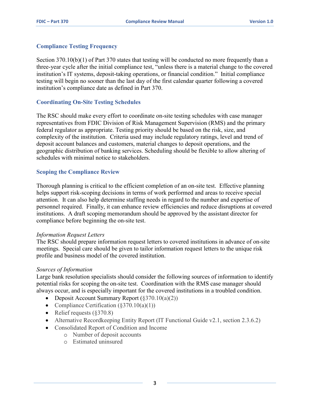#### <span id="page-3-0"></span> **Compliance Testing Frequency**

Section 370.10(b)(1) of Part 370 states that testing will be conducted no more frequently than a institution's IT systems, deposit-taking operations, or financial condition." Initial compliance testing will begin no sooner than the last day of the first calendar quarter following a covered three-year cycle after the initial compliance test, "unless there is a material change to the covered institution's compliance date as defined in Part 370.

#### <span id="page-3-1"></span> **Coordinating On-Site Testing Schedules**

 The RSC should make every effort to coordinate on-site testing schedules with case manager representatives from FDIC Division of Risk Management Supervision (RMS) and the primary federal regulator as appropriate. Testing priority should be based on the risk, size, and complexity of the institution. Criteria used may include regulatory ratings, level and trend of deposit account balances and customers, material changes to deposit operations, and the geographic distribution of banking services. Scheduling should be flexible to allow altering of schedules with minimal notice to stakeholders.

#### <span id="page-3-2"></span>**Scoping the Compliance Review**

Thorough planning is critical to the efficient completion of an on-site test. Effective planning helps support risk-scoping decisions in terms of work performed and areas to receive special attention. It can also help determine staffing needs in regard to the number and expertise of personnel required. Finally, it can enhance review efficiencies and reduce disruptions at covered institutions. A draft scoping memorandum should be approved by the assistant director for compliance before beginning the on-site test.

#### <span id="page-3-3"></span>*Information Request Letters*

 meetings. Special care should be given to tailor information request letters to the unique risk The RSC should prepare information request letters to covered institutions in advance of on-site profile and business model of the covered institution.

#### <span id="page-3-4"></span>*Sources of Information*

Large bank resolution specialists should consider the following sources of information to identify potential risks for scoping the on-site test. Coordination with the RMS case manager should always occur, and is especially important for the covered institutions in a troubled condition.

- Deposit Account Summary Report  $(\frac{270.10(a)(2)}{a})$
- Compliance Certification  $(\S 370.10(a)(1))$
- Relief requests (§370.8)
- Alternative Recordkeeping Entity Report (IT Functional Guide v2.1, section 2.3.6.2)
- Consolidated Report of Condition and Income
	- o Number of deposit accounts
	- o Estimated uninsured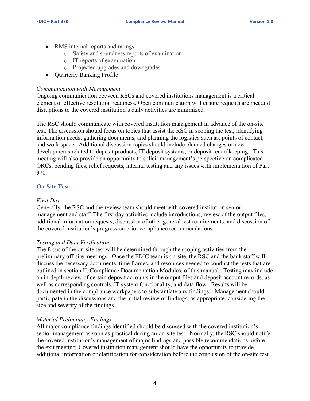- RMS internal reports and ratings
	- o Safety and soundness reports of examination
	- o IT reports of examination
	- o Projected upgrades and downgrades
- Ouarterly Banking Profile

#### <span id="page-4-0"></span>*Communication with Management*

Ongoing communication between RSCs and covered institutions management is a critical element of effective resolution readiness. Open communication will ensure requests are met and disruptions to the covered institution's daily activities are minimized.

The RSC should communicate with covered institution management in advance of the on-site test. The discussion should focus on topics that assist the RSC in scoping the test, identifying information needs, gathering documents, and planning the logistics such as, points of contact, and work space. Additional discussion topics should include planned changes or new developments related to deposit products, IT deposit systems, or deposit recordkeeping. This meeting will also provide an opportunity to solicit management's perspective on complicated ORCs, pending files, relief requests, internal testing and any issues with implementation of Part 370.

#### <span id="page-4-1"></span>**On-Site Test**

#### <span id="page-4-2"></span>*First Day*

Generally, the RSC and the review team should meet with covered institution senior management and staff. The first day activities include introductions, review of the output files, additional information requests, discussion of other general test requirements, and discussion of the covered institution's progress on prior compliance recommendations.

#### <span id="page-4-3"></span>*Testing and Data Verification*

 The focus of the on-site test will be determined through the scoping activities from the preliminary off-site meetings. Once the FDIC team is on-site, the RSC and the bank staff will discuss the necessary documents, time frames, and resources needed to conduct the tests that are outlined in section II, Compliance Documentation Modules, of this manual. Testing may include an in-depth review of certain deposit accounts in the output files and deposit account records, as well as corresponding controls, IT system functionality, and data flow. Results will be documented in the compliance workpapers to substantiate any findings. Management should participate in the discussions and the initial review of findings, as appropriate, considering the size and severity of the findings.

#### <span id="page-4-4"></span>*Material Preliminary Findings*

All major compliance findings identified should be discussed with the covered institution's senior management as soon as practical during an on-site test. Normally, the RSC should notify the covered institution's management of major findings and possible recommendations before the exit meeting. Covered institution management should have the opportunity to provide additional information or clarification for consideration before the conclusion of the on-site test.

4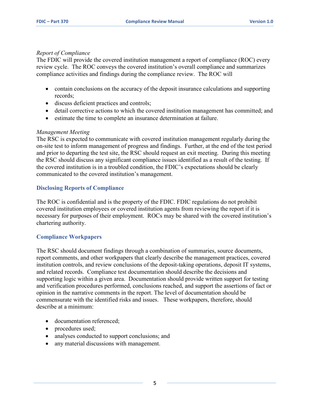#### <span id="page-5-0"></span>*Report of Compliance*

The FDIC will provide the covered institution management a report of compliance (ROC) every review cycle. The ROC conveys the covered institution's overall compliance and summarizes compliance activities and findings during the compliance review. The ROC will

- contain conclusions on the accuracy of the deposit insurance calculations and supporting records;
- discuss deficient practices and controls;
- detail corrective actions to which the covered institution management has committed; and
- estimate the time to complete an insurance determination at failure.

#### <span id="page-5-1"></span>*Management Meeting*

 and prior to departing the test site, the RSC should request an exit meeting. During this meeting The RSC is expected to communicate with covered institution management regularly during the on-site test to inform management of progress and findings. Further, at the end of the test period the RSC should discuss any significant compliance issues identified as a result of the testing. If the covered institution is in a troubled condition, the FDIC's expectations should be clearly communicated to the covered institution's management.

#### <span id="page-5-2"></span>**Disclosing Reports of Compliance**

 necessary for purposes of their employment. ROCs may be shared with the covered institution's chartering authority. The ROC is confidential and is the property of the FDIC. FDIC regulations do not prohibit covered institution employees or covered institution agents from reviewing the report if it is

#### <span id="page-5-3"></span>**Compliance Workpapers**

 report comments, and other workpapers that clearly describe the management practices, covered institution controls, and review conclusions of the deposit-taking operations, deposit IT systems, The RSC should document findings through a combination of summaries, source documents, and related records. Compliance test documentation should describe the decisions and supporting logic within a given area. Documentation should provide written support for testing and verification procedures performed, conclusions reached, and support the assertions of fact or opinion in the narrative comments in the report. The level of documentation should be commensurate with the identified risks and issues. These workpapers, therefore, should describe at a minimum:

- documentation referenced;
- procedures used;
- analyses conducted to support conclusions; and
- any material discussions with management.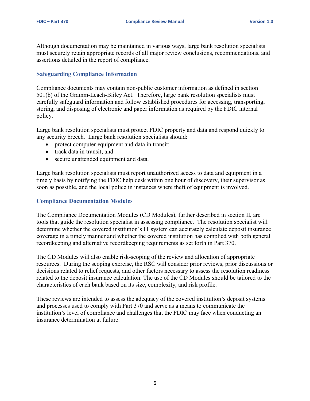Although documentation may be maintained in various ways, large bank resolution specialists must securely retain appropriate records of all major review conclusions, recommendations, and assertions detailed in the report of compliance.

#### <span id="page-6-0"></span>**Safeguarding Compliance Information**

 Compliance documents may contain non-public customer information as defined in section 501(b) of the Gramm-Leach-Bliley Act. Therefore, large bank resolution specialists must storing, and disposing of electronic and paper information as required by the FDIC internal carefully safeguard information and follow established procedures for accessing, transporting, policy.

 any security breech. Large bank resolution specialists should: Large bank resolution specialists must protect FDIC property and data and respond quickly to

- protect computer equipment and data in transit;
- track data in transit; and
- secure unattended equipment and data.

Large bank resolution specialists must report unauthorized access to data and equipment in a timely basis by notifying the FDIC help desk within one hour of discovery, their supervisor as soon as possible, and the local police in instances where theft of equipment is involved.

#### <span id="page-6-1"></span>**Compliance Documentation Modules**

 tools that guide the resolution specialist in assessing compliance. The resolution specialist will The Compliance Documentation Modules (CD Modules), further described in section II, are determine whether the covered institution's IT system can accurately calculate deposit insurance coverage in a timely manner and whether the covered institution has complied with both general recordkeeping and alternative recordkeeping requirements as set forth in Part 370.

 The CD Modules will also enable risk-scoping of the review and allocation of appropriate characteristics of each bank based on its size, complexity, and risk profile. resources. During the scoping exercise, the RSC will consider prior reviews, prior discussions or decisions related to relief requests, and other factors necessary to assess the resolution readiness related to the deposit insurance calculation. The use of the CD Modules should be tailored to the

 characteristics of each bank based on its size, complexity, and risk profile. These reviews are intended to assess the adequacy of the covered institution's deposit systems and processes used to comply with Part 370 and serve as a means to communicate the institution's level of compliance and challenges that the FDIC may face when conducting an insurance determination at failure.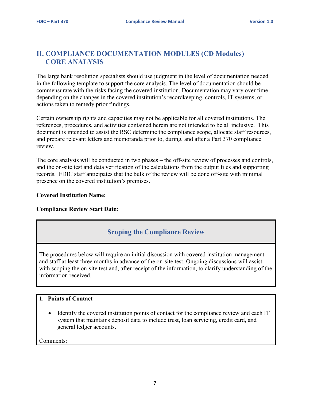## <span id="page-7-0"></span>**II. COMPLIANCE DOCUMENTATION MODULES (CD Modules) CORE ANALYSIS**

The large bank resolution specialists should use judgment in the level of documentation needed in the following template to support the core analysis. The level of documentation should be commensurate with the risks facing the covered institution. Documentation may vary over time depending on the changes in the covered institution's recordkeeping, controls, IT systems, or actions taken to remedy prior findings.

 document is intended to assist the RSC determine the compliance scope, allocate staff resources, Certain ownership rights and capacities may not be applicable for all covered institutions. The references, procedures, and activities contained herein are not intended to be all inclusive. This and prepare relevant letters and memoranda prior to, during, and after a Part 370 compliance review.

 and the on-site test and data verification of the calculations from the output files and supporting records. FDIC staff anticipates that the bulk of the review will be done off-site with minimal The core analysis will be conducted in two phases – the off-site review of processes and controls, presence on the covered institution's premises.

#### **Covered Institution Name:**

#### **Compliance Review Start Date:**

## **Scoping the Compliance Review**

 The procedures below will require an initial discussion with covered institution management and staff at least three months in advance of the on-site test. Ongoing discussions will assist with scoping the on-site test and, after receipt of the information, to clarify understanding of the information received.

#### **1. Points of Contact**

 • Identify the covered institution points of contact for the compliance review and each IT system that maintains deposit data to include trust, loan servicing, credit card, and general ledger accounts.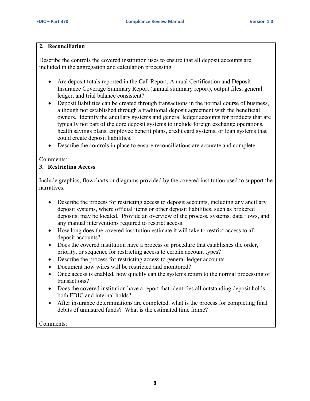#### **2. Reconciliation**

Describe the controls the covered institution uses to ensure that all deposit accounts are included in the aggregation and calculation processing.

- ledger, and trial balance consistent? • Are deposit totals reported in the Call Report, Annual Certification and Deposit Insurance Coverage Summary Report (annual summary report), output files, general
- could create deposit liabilities. • Deposit liabilities can be created through transactions in the normal course of business, although not established through a traditional deposit agreement with the beneficial owners. Identify the ancillary systems and general ledger accounts for products that are typically not part of the core deposit systems to include foreign exchange operations, health savings plans, employee benefit plans, credit card systems, or loan systems that
- Describe the controls in place to ensure reconciliations are accurate and complete.

#### Comments:

### **3. Restricting Access**

 narratives. Include graphics, flowcharts or diagrams provided by the covered institution used to support the

- • Describe the process for restricting access to deposit accounts, including any ancillary any manual interventions required to restrict access. deposit systems, where official items or other deposit liabilities, such as brokered deposits, may be located. Provide an overview of the process, systems, data flows, and
- deposit accounts? • How long does the covered institution estimate it will take to restrict access to all
- priority, or sequence for restricting access to certain account types? • Does the covered institution have a process or procedure that establishes the order,
- Describe the process for restricting access to general ledger accounts.
- Document how wires will be restricted and monitored?
- Once access is enabled, how quickly can the systems return to the normal processing of transactions?
- both FDIC and internal holds? • Does the covered institution have a report that identifies all outstanding deposit holds
- After insurance determinations are completed, what is the process for completing final debits of uninsured funds? What is the estimated time frame?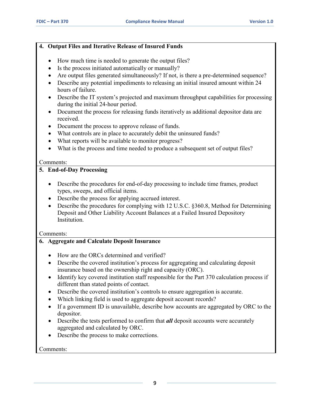#### **4. Output Files and Iterative Release of Insured Funds**

- How much time is needed to generate the output files?
- Is the process initiated automatically or manually?
- Are output files generated simultaneously? If not, is there a pre-determined sequence?
- Describe any potential impediments to releasing an initial insured amount within 24 hours of failure.
- • Describe the IT system's projected and maximum throughput capabilities for processing during the initial 24-hour period.
- Document the process for releasing funds iteratively as additional depositor data are received.
- Document the process to approve release of funds.
- What controls are in place to accurately debit the uninsured funds?
- What reports will be available to monitor progress?
- What is the process and time needed to produce a subsequent set of output files?

#### Comments:

#### **5. End-of-Day Processing**

- Describe the procedures for end-of-day processing to include time frames, product types, sweeps, and official items.
- Describe the process for applying accrued interest.
- Describe the procedures for complying with 12 U.S.C. §360.8, Method for Determining Deposit and Other Liability Account Balances at a Failed Insured Depository Institution.

Comments:

### **6. Aggregate and Calculate Deposit Insurance**

- How are the ORCs determined and verified?
- Describe the covered institution's process for aggregating and calculating deposit insurance based on the ownership right and capacity (ORC).
- Identify key covered institution staff responsible for the Part 370 calculation process if different than stated points of contact.
- Describe the covered institution's controls to ensure aggregation is accurate.
- Which linking field is used to aggregate deposit account records?
- • If a government ID is unavailable, describe how accounts are aggregated by ORC to the depositor.
- Describe the tests performed to confirm that *all* deposit accounts were accurately aggregated and calculated by ORC.
- Describe the process to make corrections.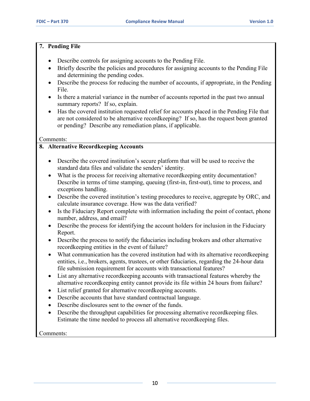#### **7. Pending File**

- Describe controls for assigning accounts to the Pending File.
- • Briefly describe the policies and procedures for assigning accounts to the Pending File and determining the pending codes.
- File. • Describe the process for reducing the number of accounts, if appropriate, in the Pending
- summary reports? If so, explain. • Is there a material variance in the number of accounts reported in the past two annual
- are not considered to be alternative recordkeeping? If so, has the request been granted • Has the covered institution requested relief for accounts placed in the Pending File that or pending? Describe any remediation plans, if applicable.

#### Comments:

#### **8. Alternative Recordkeeping Accounts**

- Describe the covered institution's secure platform that will be used to receive the standard data files and validate the senders' identity.
- What is the process for receiving alternative recordkeeping entity documentation? Describe in terms of time stamping, queuing (first-in, first-out), time to process, and exceptions handling.
- Describe the covered institution's testing procedures to receive, aggregate by ORC, and calculate insurance coverage. How was the data verified?
- Is the Fiduciary Report complete with information including the point of contact, phone number, address, and email?
- Describe the process for identifying the account holders for inclusion in the Fiduciary Report.
- Describe the process to notify the fiduciaries including brokers and other alternative recordkeeping entities in the event of failure?
- What communication has the covered institution had with its alternative recordkeeping entities, i.e., brokers, agents, trustees, or other fiduciaries, regarding the 24-hour data file submission requirement for accounts with transactional features?
- alternative recordkeeping entity cannot provide its file within 24 hours from failure? • List any alternative recordkeeping accounts with transactional features whereby the
- List relief granted for alternative recordkeeping accounts.
- Describe accounts that have standard contractual language.
- Describe disclosures sent to the owner of the funds.
- Estimate the time needed to process all alternative recordkeeping files. Comments: • Describe the throughput capabilities for processing alternative record keeping files.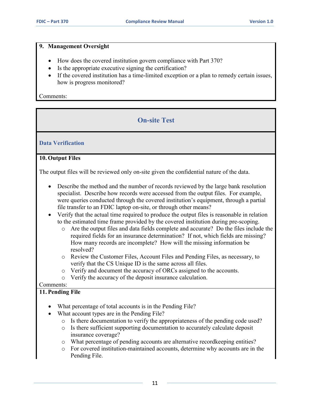#### **9. Management Oversight**

- How does the covered institution govern compliance with Part 370?
- Is the appropriate executive signing the certification?
- If the covered institution has a time-limited exception or a plan to remedy certain issues, how is progress monitored?

Comments:

# **On-site Test**

#### **Data Verification**

#### **10. Output Files**

The output files will be reviewed only on-site given the confidential nature of the data.

- specialist. Describe how records were accessed from the output files. For example, file transfer to an FDIC laptop on-site, or through other means? • Describe the method and the number of records reviewed by the large bank resolution were queries conducted through the covered institution's equipment, through a partial
- Verify that the actual time required to produce the output files is reasonable in relation to the estimated time frame provided by the covered institution during pre-scoping.
	- required fields for an insurance determination? If not, which fields are missing? resolved? o Are the output files and data fields complete and accurate? Do the files include the How many records are incomplete? How will the missing information be
	- o Review the Customer Files, Account Files and Pending Files, as necessary, to verify that the CS Unique ID is the same across all files.
	- o Verify and document the accuracy of ORCs assigned to the accounts.
	- o Verify the accuracy of the deposit insurance calculation.

#### Comments:

#### **11. Pending File**

- What percentage of total accounts is in the Pending File?
- What account types are in the Pending File?
	- o Is there documentation to verify the appropriateness of the pending code used?
	- o Is there sufficient supporting documentation to accurately calculate deposit insurance coverage?
	- o What percentage of pending accounts are alternative recordkeeping entities?
	- o For covered institution-maintained accounts, determine why accounts are in the Pending File.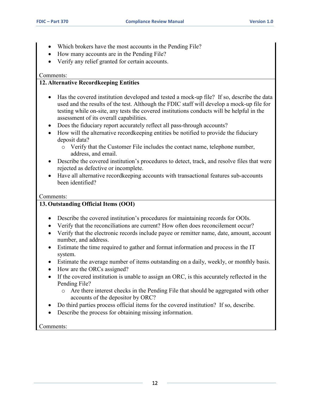- Which brokers have the most accounts in the Pending File?
- How many accounts are in the Pending File?
- Verify any relief granted for certain accounts.

#### Comments:

#### **12. Alternative Recordkeeping Entities**

- • Has the covered institution developed and tested a mock-up file? If so, describe the data assessment of its overall capabilities. used and the results of the test. Although the FDIC staff will develop a mock-up file for testing while on-site, any tests the covered institutions conducts will be helpful in the
- Does the fiduciary report accurately reflect all pass-through accounts?
- How will the alternative recordkeeping entities be notified to provide the fiduciary deposit data?
	- o Verify that the Customer File includes the contact name, telephone number, address, and email.
- Describe the covered institution's procedures to detect, track, and resolve files that were rejected as defective or incomplete.
- Have all alternative recordkeeping accounts with transactional features sub-accounts been identified?

#### Comments:

#### **13. Outstanding Official Items (OOI)**

- Describe the covered institution's procedures for maintaining records for OOIs.
- Verify that the reconciliations are current? How often does reconcilement occur?
- Verify that the electronic records include payee or remitter name, date, amount, account number, and address.
- • Estimate the time required to gather and format information and process in the IT system.
- Estimate the average number of items outstanding on a daily, weekly, or monthly basis.
- How are the ORCs assigned?
- If the covered institution is unable to assign an ORC, is this accurately reflected in the Pending File?
	- o Are there interest checks in the Pending File that should be aggregated with other accounts of the depositor by ORC?
- Do third parties process official items for the covered institution? If so, describe.
- Describe the process for obtaining missing information.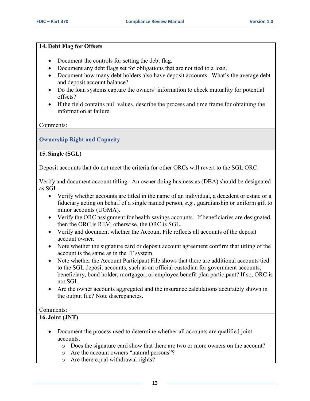#### **14. Debt Flag for Offsets**

- Document the controls for setting the debt flag.
- Document any debt flags set for obligations that are not tied to a loan.
- Document how many debt holders also have deposit accounts. What's the average debt and deposit account balance?
- • Do the loan systems capture the owners' information to check mutuality for potential offsets?
- If the field contains null values, describe the process and time frame for obtaining the information at failure.

Comments:

### **Ownership Right and Capacity**

#### **15. Single (SGL)**

Deposit accounts that do not meet the criteria for other ORCs will revert to the SGL ORC.

Verify and document account titling. An owner doing business as (DBA) should be designated as SGL.

- Verify whether accounts are titled in the name of an individual, a decedent or estate or a fiduciary acting on behalf of a single named person, *e.g.,* guardianship or uniform gift to minor accounts (UGMA).
- • Verify the ORC assignment for health savings accounts. If beneficiaries are designated, then the ORC is REV; otherwise, the ORC is SGL.
- • Verify and document whether the Account File reflects all accounts of the deposit account owner.
- Note whether the signature card or deposit account agreement confirm that titling of the account is the same as in the IT system.
- to the SGL deposit accounts, such as an official custodian for government accounts, beneficiary, bond holder, mortgagor, or employee benefit plan participant? If so, ORC is • Note whether the Account Participant File shows that there are additional accounts tied not SGL.
- Are the owner accounts aggregated and the insurance calculations accurately shown in the output file? Note discrepancies.

#### Comments:

#### **16. Joint (JNT)**

- Document the process used to determine whether all accounts are qualified joint accounts.
	- o Does the signature card show that there are two or more owners on the account?
	- o Are the account owners "natural persons"?
	- o Are there equal withdrawal rights?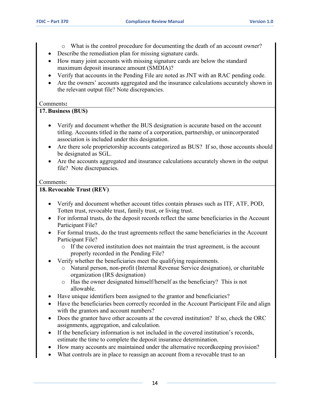- o What is the control procedure for documenting the death of an account owner?
- Describe the remediation plan for missing signature cards.
- How many joint accounts with missing signature cards are below the standard maximum deposit insurance amount (SMDIA)?
- Verify that accounts in the Pending File are noted as JNT with an RAC pending code.
- the relevant output file? Note discrepancies. Comments**:**  Are the owners' accounts aggregated and the insurance calculations accurately shown in

#### **17. Business (BUS)**

- Verify and document whether the BUS designation is accurate based on the account titling. Accounts titled in the name of a corporation, partnership, or unincorporated association is included under this designation.
- Are there sole proprietorship accounts categorized as BUS? If so, those accounts should be designated as SGL.
- file? Note discrepancies.<br>Comments: • Are the accounts aggregated and insurance calculations accurately shown in the output

#### **18. Revocable Trust (REV)**

- Verify and document whether account titles contain phrases such as ITF, ATF, POD, Totten trust, revocable trust, family trust, or living trust.
- For informal trusts, do the deposit records reflect the same beneficiaries in the Account Participant File?
- For formal trusts, do the trust agreements reflect the same beneficiaries in the Account Participant File?
	- o If the covered institution does not maintain the trust agreement, is the account properly recorded in the Pending File?
- Verify whether the beneficiaries meet the qualifying requirements.
	- o Natural person, non-profit (Internal Revenue Service designation), or charitable organization (IRS designation)
	- allowable. o Has the owner designated himself/herself as the beneficiary? This is not
- Have unique identifiers been assigned to the grantor and beneficiaries?
- Have the beneficiaries been correctly recorded in the Account Participant File and align with the grantors and account numbers?
- • Does the grantor have other accounts at the covered institution? If so, check the ORC assignments, aggregation, and calculation.
- If the beneficiary information is not included in the covered institution's records, estimate the time to complete the deposit insurance determination.
- How many accounts are maintained under the alternative recordkeeping provision?
- What controls are in place to reassign an account from a revocable trust to an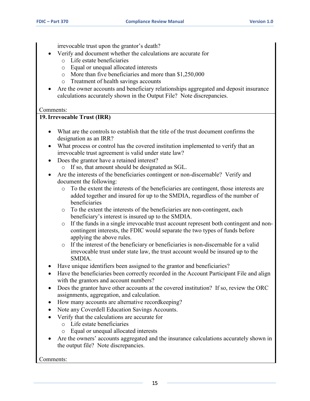irrevocable trust upon the grantor's death?

- Verify and document whether the calculations are accurate for
	- o Life estate beneficiaries
	- o Equal or unequal allocated interests
	- o More than five beneficiaries and more than \$1,250,000
	- o Treatment of health savings accounts
- calculations accurately shown in the Output File? Note discrepancies. Comments: Are the owner accounts and beneficiary relationships aggregated and deposit insurance

#### **19. Irrevocable Trust (IRR)**

- designation as an IRR? • What are the controls to establish that the title of the trust document confirms the
- What process or control has the covered institution implemented to verify that an irrevocable trust agreement is valid under state law?
- • Does the grantor have a retained interest?
	- o If so, that amount should be designated as SGL.
- • Are the interests of the beneficiaries contingent or non-discernable? Verify and document the following:
	- added together and insured for up to the SMDIA, regardless of the number of o To the extent the interests of the beneficiaries are contingent, those interests are beneficiaries
	- o To the extent the interests of the beneficiaries are non-contingent, each beneficiary's interest is insured up to the SMDIA.
	- applying the above rules. o If the funds in a single irrevocable trust account represent both contingent and noncontingent interests, the FDIC would separate the two types of funds before
	- o If the interest of the beneficiary or beneficiaries is non-discernable for a valid irrevocable trust under state law, the trust account would be insured up to the SMDIA.
- Have unique identifiers been assigned to the grantor and beneficiaries?
- Have the beneficiaries been correctly recorded in the Account Participant File and align with the grantors and account numbers?
- Does the grantor have other accounts at the covered institution? If so, review the ORC assignments, aggregation, and calculation.
- How many accounts are alternative recordkeeping?
- Note any Coverdell Education Savings Accounts.
- • Verify that the calculations are accurate for
	- o Life estate beneficiaries
	- o Equal or unequal allocated interests
- Are the owners' accounts aggregated and the insurance calculations accurately shown in the output file? Note discrepancies.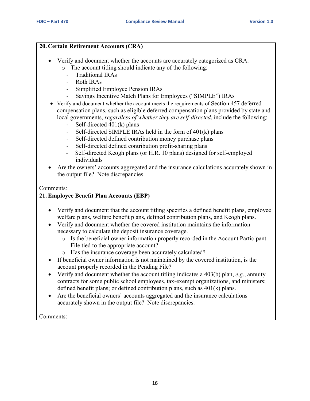#### **20. Certain Retirement Accounts (CRA)**

- o The account titling should indicate any of the following: • Verify and document whether the accounts are accurately categorized as CRA.
	- Traditional IRAs
	- Roth IRAs
	- Simplified Employee Pension IRAs
	- Savings Incentive Match Plans for Employees ("SIMPLE") IRAs
- • Verify and document whether the account meets the requirements of Section 457 deferred compensation plans, such as eligible deferred compensation plans provided by state and local governments, *regardless of whether they are self-directed*, include the following:
	- Self-directed 401(k) plans
	- Self-directed SIMPLE IRAs held in the form of 401(k) plans
	- Self-directed defined contribution money purchase plans
	- Self-directed defined contribution profit-sharing plans
	- Self-directed Keogh plans (or H.R. 10 plans) designed for self-employed individuals
- Are the owners' accounts aggregated and the insurance calculations accurately shown in the output file? Note discrepancies.

#### Comments:

#### **21. Employee Benefit Plan Accounts (EBP)**

- Verify and document that the account titling specifies a defined benefit plans, employee welfare plans, welfare benefit plans, defined contribution plans, and Keogh plans.
- Verify and document whether the covered institution maintains the information necessary to calculate the deposit insurance coverage.
	- o Is the beneficial owner information properly recorded in the Account Participant File tied to the appropriate account?
	- o Has the insurance coverage been accurately calculated?
- account properly recorded in the Pending File? • If beneficial owner information is not maintained by the covered institution, is the
- Verify and document whether the account titling indicates a 403(b) plan, *e.g*., annuity contracts for some public school employees, tax-exempt organizations, and ministers; defined benefit plans; or defined contribution plans, such as 401(k) plans.
- • Are the beneficial owners' accounts aggregated and the insurance calculations accurately shown in the output file? Note discrepancies.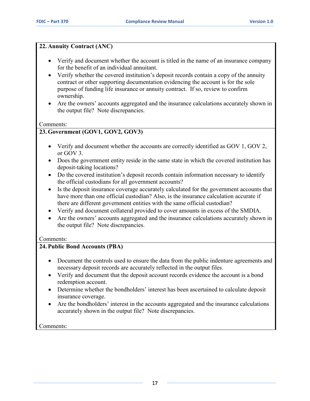#### **22. Annuity Contract (ANC)**

- Verify and document whether the account is titled in the name of an insurance company for the benefit of an individual annuitant.
- Verify whether the covered institution's deposit records contain a copy of the annuity contract or other supporting documentation evidencing the account is for the sole purpose of funding life insurance or annuity contract. If so, review to confirm ownership.
- Are the owners' accounts aggregated and the insurance calculations accurately shown in the output file? Note discrepancies.

#### Comments:

## **23. Government (GOV1, GOV2, GOV3)**

- Verify and document whether the accounts are correctly identified as GOV 1, GOV 2, or GOV 3.
- Does the government entity reside in the same state in which the covered institution has deposit-taking locations?
- • Do the covered institution's deposit records contain information necessary to identify the official custodians for all government accounts?
- there are different government entities with the same official custodian? • Is the deposit insurance coverage accurately calculated for the government accounts that have more than one official custodian? Also, is the insurance calculation accurate if
- Verify and document collateral provided to cover amounts in excess of the SMDIA.
- Are the owners' accounts aggregated and the insurance calculations accurately shown in the output file? Note discrepancies.

#### Comments:

#### **24. Public Bond Accounts (PBA)**

- Document the controls used to ensure the data from the public indenture agreements and necessary deposit records are accurately reflected in the output files.
- Verify and document that the deposit account records evidence the account is a bond redemption account.
- Determine whether the bondholders' interest has been ascertained to calculate deposit insurance coverage.
- Are the bondholders' interest in the accounts aggregated and the insurance calculations accurately shown in the output file? Note discrepancies.